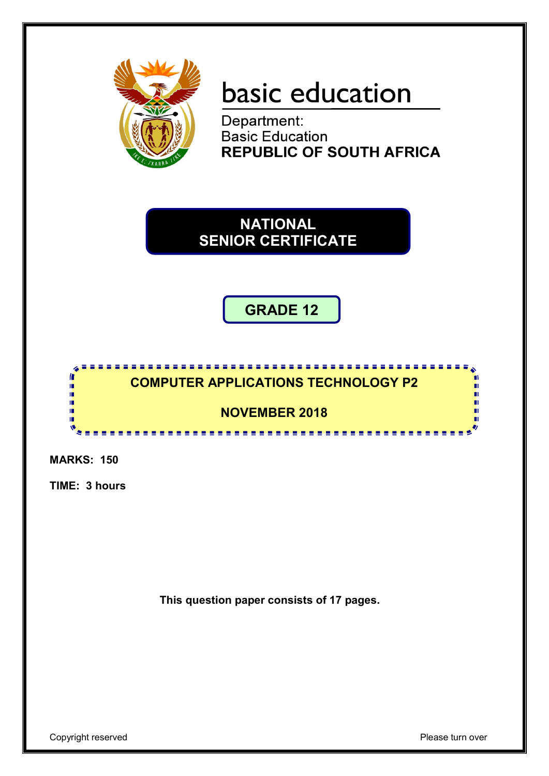

# basic education

Department: **Basic Education REPUBLIC OF SOUTH AFRICA** 

**NATIONAL SENIOR CERTIFICATE**

**GRADE 12**

### **COMPUTER APPLICATIONS TECHNOLOGY P2**

# **NOVEMBER 2018**

<u>....................</u>

**MARKS: 150**

Г I. I. ú, 唓

**TIME: 3 hours**

**This question paper consists of 17 pages.**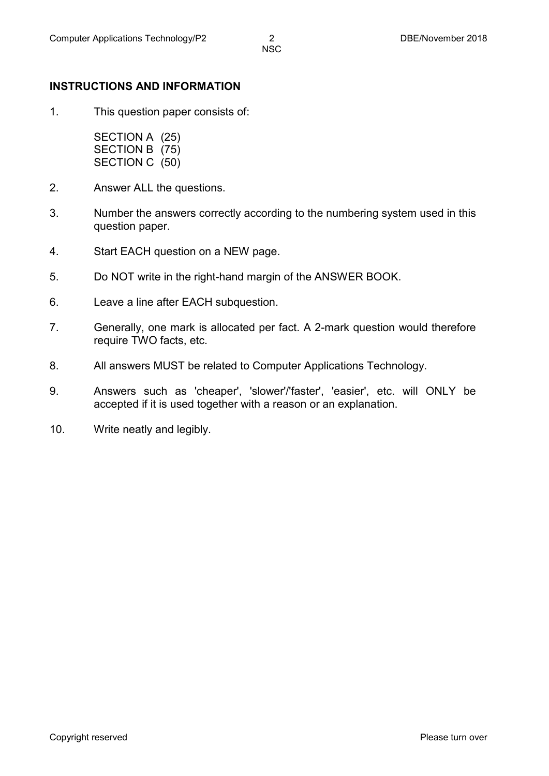#### **INSTRUCTIONS AND INFORMATION**

1. This question paper consists of:

> SECTION A (25) SECTION B (75) SECTION C (50)

- 2. Answer ALL the questions.
- 3. Number the answers correctly according to the numbering system used in this question paper.
- 4. Start EACH question on a NEW page.
- 5. Do NOT write in the right-hand margin of the ANSWER BOOK.
- 6. Leave a line after EACH subquestion.
- 7. Generally, one mark is allocated per fact. A 2-mark question would therefore require TWO facts, etc.
- 8. All answers MUST be related to Computer Applications Technology.
- 9. Answers such as 'cheaper', 'slower'/'faster', 'easier', etc. will ONLY be accepted if it is used together with a reason or an explanation.
- 10. Write neatly and legibly.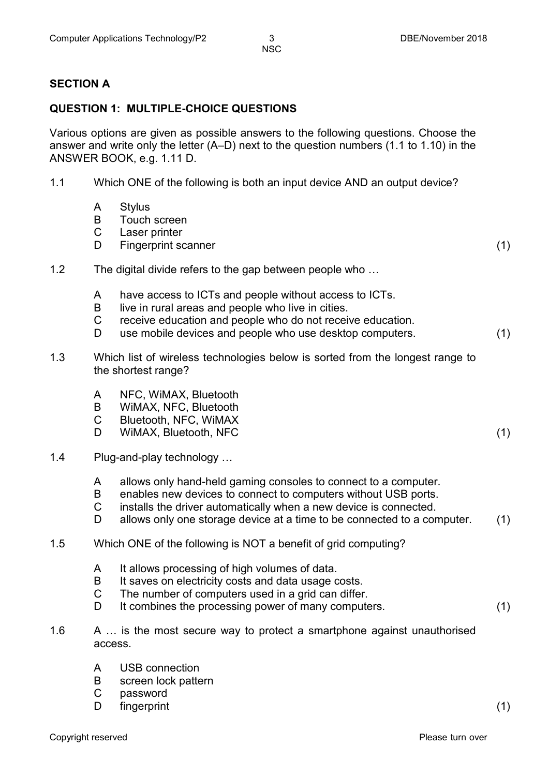#### **SECTION A**

#### **QUESTION 1: MULTIPLE-CHOICE QUESTIONS**

Various options are given as possible answers to the following questions. Choose the answer and write only the letter (A–D) next to the question numbers (1.1 to 1.10) in the ANSWER BOOK, e.g. 1.11 D.

- 1.1 Which ONE of the following is both an input device AND an output device?
	- A **Stylus**
	- B Touch screen
	- C Laser printer
	- D<sub>1</sub> Fingerprint scanner (1) (1)
- 1.2 The digital divide refers to the gap between people who …
	- A have access to ICTs and people without access to ICTs.
	- B live in rural areas and people who live in cities.
	- $\mathcal{C}$ receive education and people who do not receive education.
	- D use mobile devices and people who use desktop computers. (1)
- 1.3 Which list of wireless technologies below is sorted from the longest range to the shortest range?
	- A NFC, WiMAX, Bluetooth
	- B WiMAX, NFC, Bluetooth
	- $\mathcal{C}$ Bluetooth, NFC, WiMAX
	- D. WIMAX, Bluetooth, NFC (1)
- 1.4 Plug-and-play technology …
	- A allows only hand-held gaming consoles to connect to a computer.
	- B enables new devices to connect to computers without USB ports.
	- C installs the driver automatically when a new device is connected.
	- D allows only one storage device at a time to be connected to a computer. (1)

#### 1.5 Which ONE of the following is NOT a benefit of grid computing?

- A It allows processing of high volumes of data.
- B It saves on electricity costs and data usage costs.
- $\mathcal{C}$ The number of computers used in a grid can differ.
- D. It combines the processing power of many computers. (1)
- 1.6 A ... is the most secure way to protect a smartphone against unauthorised access.
	- A USB connection
	- B screen lock pattern
	- $\mathcal{C}$ password
	- $\mathsf{D}$ fingerprint (1)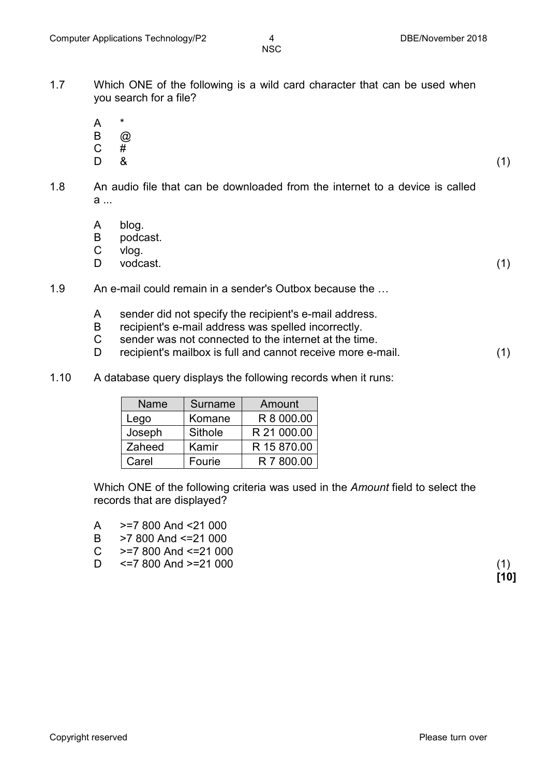- 1.7 Which ONE of the following is a wild card character that can be used when you search for a file?
	- A \*
	- B  $\circledR$
	- C
	- D<sub>1</sub>  $\frac{\#}{8}$ 
		- $\&$  (1)
- 1.8 An audio file that can be downloaded from the internet to a device is called  $a$ 
	- A blog.
	- B podcast.
	- C vlog.
	- D<sub>1</sub> vodcast. (1)
- 1.9 An e-mail could remain in a sender's Outbox because the …
	- A sender did not specify the recipient's e-mail address.
	- B recipient's e-mail address was spelled incorrectly.
	- $\mathcal{C}$ sender was not connected to the internet at the time.
	- D. recipient's mailbox is full and cannot receive more e-mail. (1)
- 1.10 A database query displays the following records when it runs:

| <b>Name</b> | Surname | Amount      |
|-------------|---------|-------------|
| Lego        | Komane  | R 8 000.00  |
| Joseph      | Sithole | R 21 000.00 |
| Zaheed      | Kamir   | R 15 870.00 |
| Carel       | Fourie  | R 7 800.00  |

Which ONE of the following criteria was used in the *Amount* field to select the records that are displayed?

- A >=7 800 And <21 000
- B >7 800 And <=21 000
- $\mathcal{C}$ >=7 800 And <=21 000
- D  $\le$  7 800 And  $\ge$  21 000 (1)

**[10]**

Copyright reserved **Please-turn-over and Copyright reserved** Please-turn-over and Please-turn-over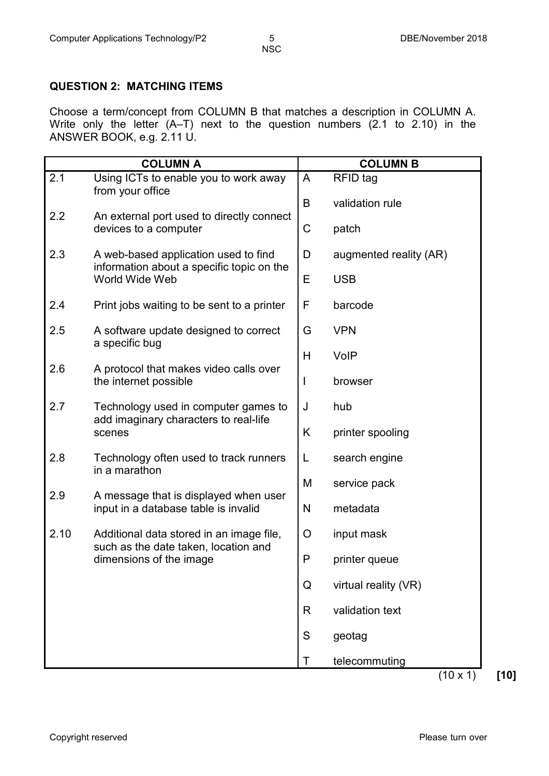#### **QUESTION 2: MATCHING ITEMS**

Choose a term/concept from COLUMN B that matches a description in COLUMN A. Write only the letter (A–T) next to the question numbers (2.1 to 2.10) in the ANSWER BOOK, e.g. 2.11 U.

|      | <b>COLUMN A</b>                                                                   |               | <b>COLUMN B</b>        |
|------|-----------------------------------------------------------------------------------|---------------|------------------------|
| 2.1  | Using ICTs to enable you to work away<br>from your office                         | A             | RFID tag               |
| 2.2  |                                                                                   | B             | validation rule        |
|      | An external port used to directly connect<br>devices to a computer                | C             | patch                  |
| 2.3  | A web-based application used to find<br>information about a specific topic on the | D             | augmented reality (AR) |
|      | World Wide Web                                                                    | Е             | <b>USB</b>             |
| 2.4  | Print jobs waiting to be sent to a printer                                        | F             | barcode                |
| 2.5  | A software update designed to correct<br>a specific bug                           | G             | <b>VPN</b>             |
|      |                                                                                   | Н             | VolP                   |
| 2.6  | A protocol that makes video calls over<br>the internet possible                   | I             | browser                |
| 2.7  | Technology used in computer games to<br>add imaginary characters to real-life     | J             | hub                    |
|      | scenes                                                                            | Κ             | printer spooling       |
| 2.8  | Technology often used to track runners<br>in a marathon                           | L             | search engine          |
| 2.9  | A message that is displayed when user                                             | M             | service pack           |
|      | input in a database table is invalid                                              | N             | metadata               |
| 2.10 | Additional data stored in an image file,<br>such as the date taken, location and  | O             | input mask             |
|      | dimensions of the image                                                           | P             | printer queue          |
|      |                                                                                   | Q             | virtual reality (VR)   |
|      |                                                                                   | R             | validation text        |
|      |                                                                                   | ${\mathsf S}$ | geotag                 |
|      |                                                                                   | Τ             | telecommuting          |

(10 x 1) **[10]**

Copyright reserved **Please-turn-over** Please-turn-over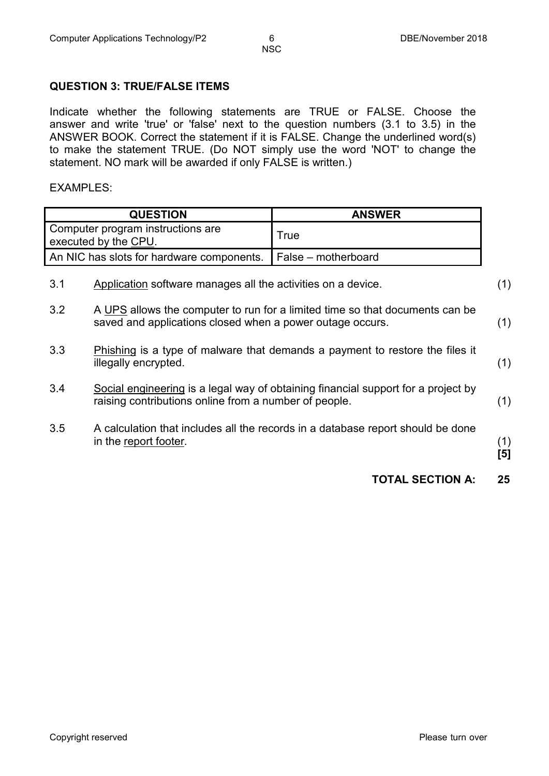#### **QUESTION 3: TRUE/FALSE ITEMS**

Indicate whether the following statements are TRUE or FALSE. Choose the answer and write 'true' or 'false' next to the question numbers (3.1 to 3.5) in the ANSWER BOOK. Correct the statement if it is FALSE. Change the underlined word(s) to make the statement TRUE. (Do NOT simply use the word 'NOT' to change the statement. NO mark will be awarded if only FALSE is written.)

#### EXAMPLES:

|                                                           | <b>QUESTION</b>                                              | <b>ANSWER</b>                                                                     |            |
|-----------------------------------------------------------|--------------------------------------------------------------|-----------------------------------------------------------------------------------|------------|
| Computer program instructions are<br>executed by the CPU. |                                                              | True                                                                              |            |
|                                                           | An NIC has slots for hardware components.                    | False – motherboard                                                               |            |
| 3.1                                                       | Application software manages all the activities on a device. |                                                                                   | (1)        |
| 3.2                                                       | saved and applications closed when a power outage occurs.    | A UPS allows the computer to run for a limited time so that documents can be      | (1)        |
| 3.3                                                       | illegally encrypted.                                         | Phishing is a type of malware that demands a payment to restore the files it      | (1)        |
| 3.4                                                       | raising contributions online from a number of people.        | Social engineering is a legal way of obtaining financial support for a project by | (1)        |
| 3.5                                                       | in the report footer.                                        | A calculation that includes all the records in a database report should be done   | (1)<br>[5] |
|                                                           |                                                              | <b>TOTAL SECTION A:</b>                                                           | 25         |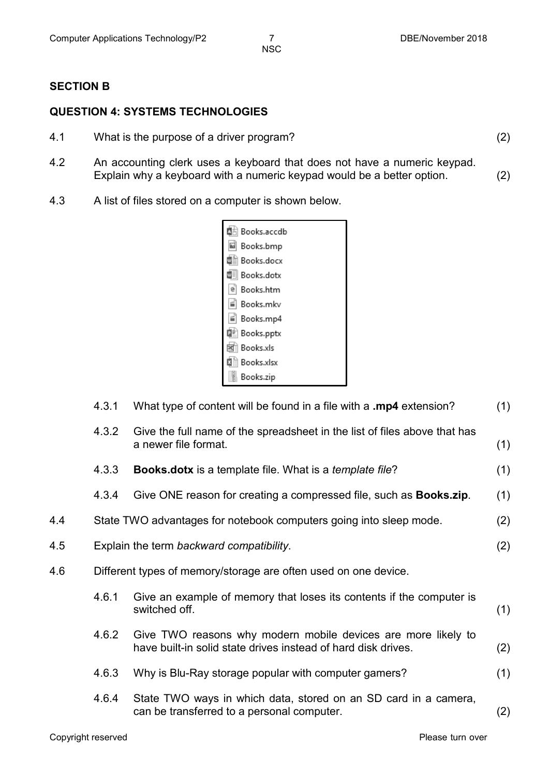#### **SECTION B**

#### **QUESTION 4: SYSTEMS TECHNOLOGIES**

- 4.1 What is the purpose of a driver program? (2)
- 4.2 An accounting clerk uses a keyboard that does not have a numeric keypad. Explain why a keyboard with a numeric keypad would be a better option. (2)
- 4.3 A list of files stored on a computer is shown below.



|     | 4.3.1 | What type of content will be found in a file with a .mp4 extension?                                                            | (1) |
|-----|-------|--------------------------------------------------------------------------------------------------------------------------------|-----|
|     | 4.3.2 | Give the full name of the spreadsheet in the list of files above that has<br>a newer file format.                              | (1) |
|     | 4.3.3 | <b>Books.dotx</b> is a template file. What is a <i>template file</i> ?                                                         | (1) |
|     | 4.3.4 | Give ONE reason for creating a compressed file, such as <b>Books.zip</b> .                                                     | (1) |
| 4.4 |       | State TWO advantages for notebook computers going into sleep mode.                                                             | (2) |
| 4.5 |       | Explain the term backward compatibility.                                                                                       | (2) |
| 4.6 |       | Different types of memory/storage are often used on one device.                                                                |     |
|     | 4.6.1 | Give an example of memory that loses its contents if the computer is<br>switched off.                                          | (1) |
|     | 4.6.2 | Give TWO reasons why modern mobile devices are more likely to<br>have built-in solid state drives instead of hard disk drives. | (2) |
|     | 4.6.3 | Why is Blu-Ray storage popular with computer gamers?                                                                           | (1) |
|     | 4.6.4 | State TWO ways in which data, stored on an SD card in a camera,<br>can be transferred to a personal computer.                  | (2) |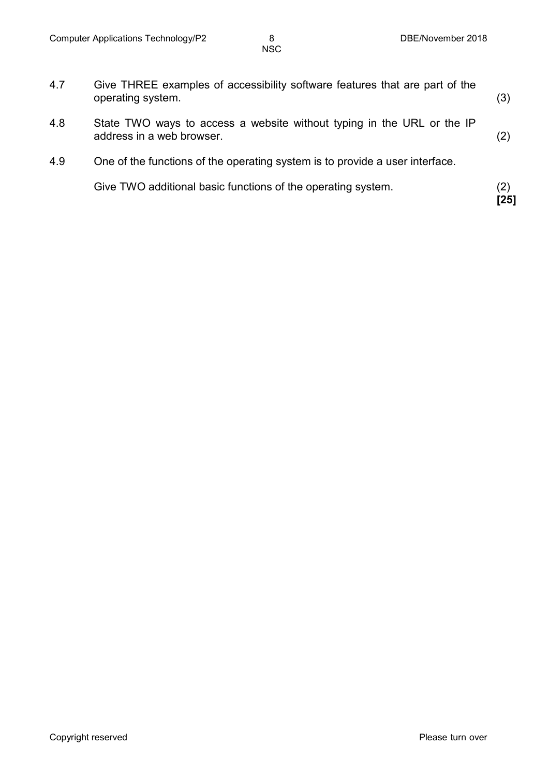| 4.7 | Give THREE examples of accessibility software features that are part of the<br>operating system.    | (3)         |
|-----|-----------------------------------------------------------------------------------------------------|-------------|
| 4.8 | State TWO ways to access a website without typing in the URL or the IP<br>address in a web browser. | (2)         |
| 4.9 | One of the functions of the operating system is to provide a user interface.                        |             |
|     | Give TWO additional basic functions of the operating system.                                        | (2)<br>[25] |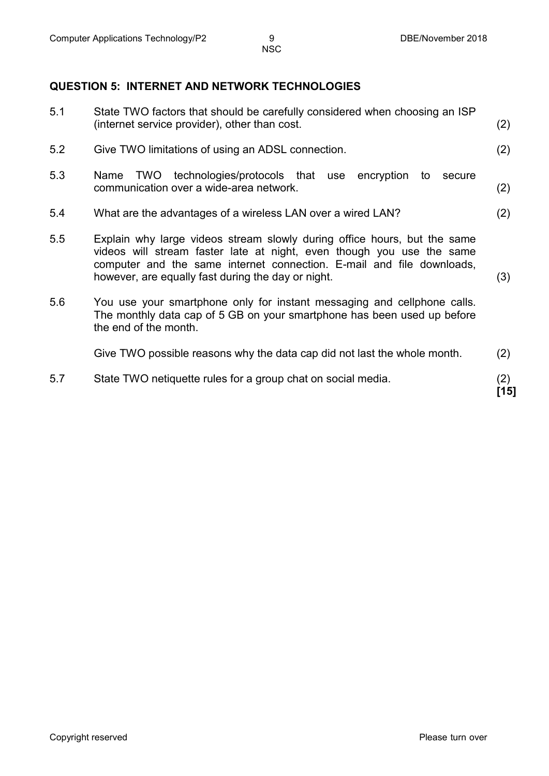#### **QUESTION 5: INTERNET AND NETWORK TECHNOLOGIES**

| 5.7 | State TWO netiquette rules for a group chat on social media.                                                                                                                                                                                                                     | (2)<br>[15] |
|-----|----------------------------------------------------------------------------------------------------------------------------------------------------------------------------------------------------------------------------------------------------------------------------------|-------------|
|     | Give TWO possible reasons why the data cap did not last the whole month.                                                                                                                                                                                                         | (2)         |
| 5.6 | You use your smartphone only for instant messaging and cellphone calls.<br>The monthly data cap of 5 GB on your smartphone has been used up before<br>the end of the month.                                                                                                      |             |
| 5.5 | Explain why large videos stream slowly during office hours, but the same<br>videos will stream faster late at night, even though you use the same<br>computer and the same internet connection. E-mail and file downloads,<br>however, are equally fast during the day or night. | (3)         |
| 5.4 | What are the advantages of a wireless LAN over a wired LAN?                                                                                                                                                                                                                      | (2)         |
| 5.3 | TWO technologies/protocols that use encryption<br>Name<br>to<br>secure<br>communication over a wide-area network.                                                                                                                                                                | (2)         |
| 5.2 | Give TWO limitations of using an ADSL connection.                                                                                                                                                                                                                                | (2)         |
| 5.1 | State TWO factors that should be carefully considered when choosing an ISP<br>(internet service provider), other than cost.                                                                                                                                                      | (2)         |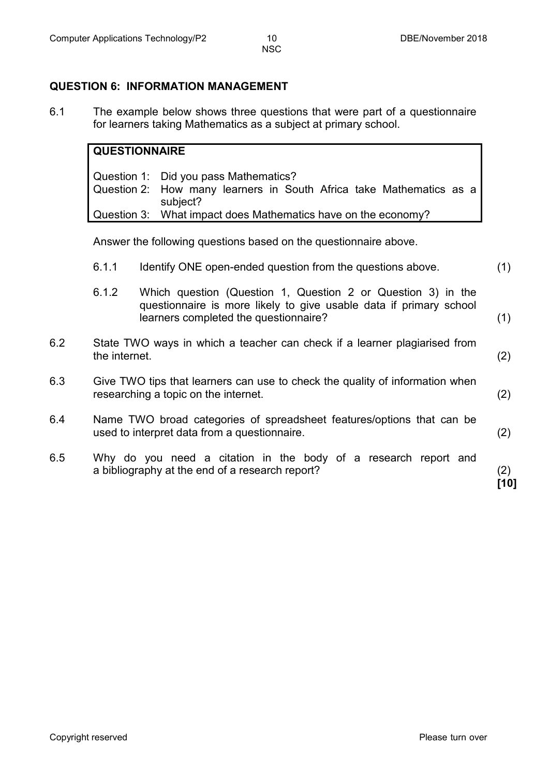#### **QUESTION 6: INFORMATION MANAGEMENT**

6.1 The example below shows three questions that were part of a questionnaire for learners taking Mathematics as a subject at primary school.

#### **QUESTIONNAIRE**

Question 1: Did you pass Mathematics? Question 2: How many learners in South Africa take Mathematics as a subject? Question 3: What impact does Mathematics have on the economy?

Answer the following questions based on the questionnaire above.

6.1.1 Identify ONE open-ended question from the questions above. (1) 6.1.2 Which question (Question 1, Question 2 or Question 3) in the questionnaire is more likely to give usable data if primary school learners completed the questionnaire? (1) 6.2 State TWO ways in which a teacher can check if a learner plagiarised from the internet. (2) 6.3 Give TWO tips that learners can use to check the quality of information when researching a topic on the internet. (2) 6.4 Name TWO broad categories of spreadsheet features/options that can be used to interpret data from a questionnaire. (2) 6.5 Why do you need a citation in the body of a research report and a bibliography at the end of a research report? (2)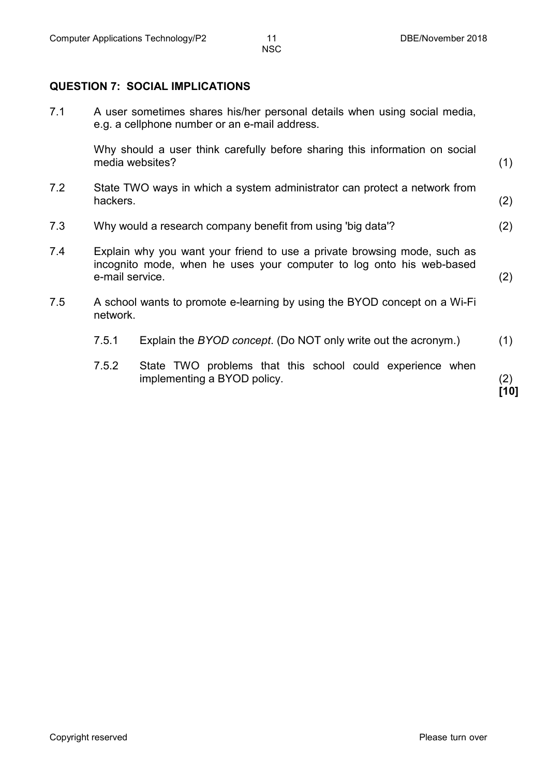**QUESTION 7: SOCIAL IMPLICATIONS**

7.1 A user sometimes shares his/her personal details when using social media, e.g. a cellphone number or an e-mail address.

> Why should a user think carefully before sharing this information on social media websites? (1)

- 7.2 State TWO ways in which a system administrator can protect a network from hackers. (2)
- 7.3 Why would a research company benefit from using 'big data'? (2)
- 7.4 Explain why you want your friend to use a private browsing mode, such as incognito mode, when he uses your computer to log onto his web-based e-mail service. (2)
- 7.5 A school wants to promote e-learning by using the BYOD concept on a Wi-Fi network.
	- 7.5.1 Explain the *BYOD concept*. (Do NOT only write out the acronym.) (1)
	- 7.5.2 State TWO problems that this school could experience when implementing a BYOD policy. (2)

**[10]**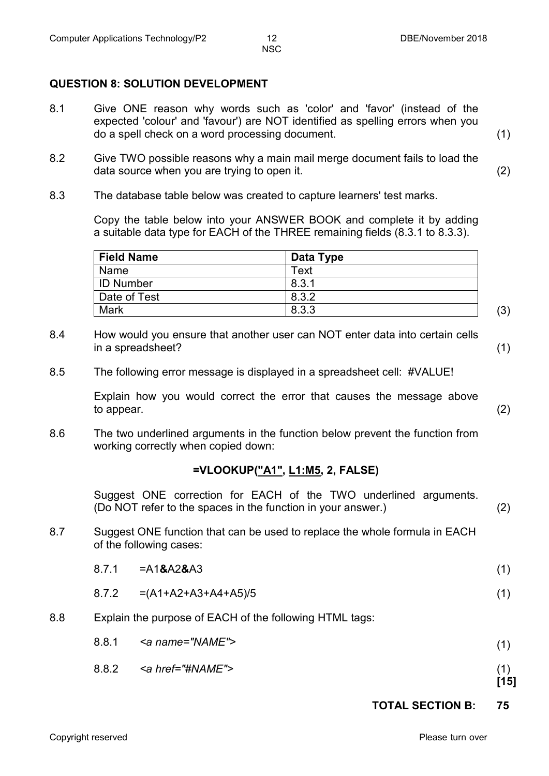#### **QUESTION 8: SOLUTION DEVELOPMENT**

- 8.1 Give ONE reason why words such as 'color' and 'favor' (instead of the expected 'colour' and 'favour') are NOT identified as spelling errors when you do a spell check on a word processing document. (1)
- 8.2 Give TWO possible reasons why a main mail merge document fails to load the data source when you are trying to open it. (2)
- 8.3 The database table below was created to capture learners' test marks.

Copy the table below into your ANSWER BOOK and complete it by adding a suitable data type for EACH of the THREE remaining fields (8.3.1 to 8.3.3).

| <b>Field Name</b> | Data Type |     |
|-------------------|-----------|-----|
| Name              | Text      |     |
| <b>ID Number</b>  | 8.3.1     |     |
| Date of Test      | 8.3.2     |     |
| Mark              | 8.3.3     | (3) |

- 8.4 How would you ensure that another user can NOT enter data into certain cells in a spreadsheet? (1)
- 8.5 The following error message is displayed in a spreadsheet cell: #VALUE!

Explain how you would correct the error that causes the message above to appear. (2)

8.6 The two underlined arguments in the function below prevent the function from working correctly when copied down:

#### **=VLOOKUP("A1", L1:M5, 2, FALSE)**

Suggest ONE correction for EACH of the TWO underlined arguments. (Do NOT refer to the spaces in the function in your answer.) (2)

8.7 Suggest ONE function that can be used to replace the whole formula in EACH of the following cases:

| 8.7.1 | =A1 <b>&amp;</b> A2 <b>&amp;</b> A3 |  |
|-------|-------------------------------------|--|
|       |                                     |  |

- 8.7.2 =(A1+A2+A3+A4+A5)/5 (1)
- 8.8 Explain the purpose of EACH of the following HTML tags:

| 8.8.1<br><a name="NAME"></a> |  |  |
|------------------------------|--|--|
|------------------------------|--|--|

8.8.2 *<a href="#NAME">* (1)

**[15]**

**TOTAL SECTION B: 75**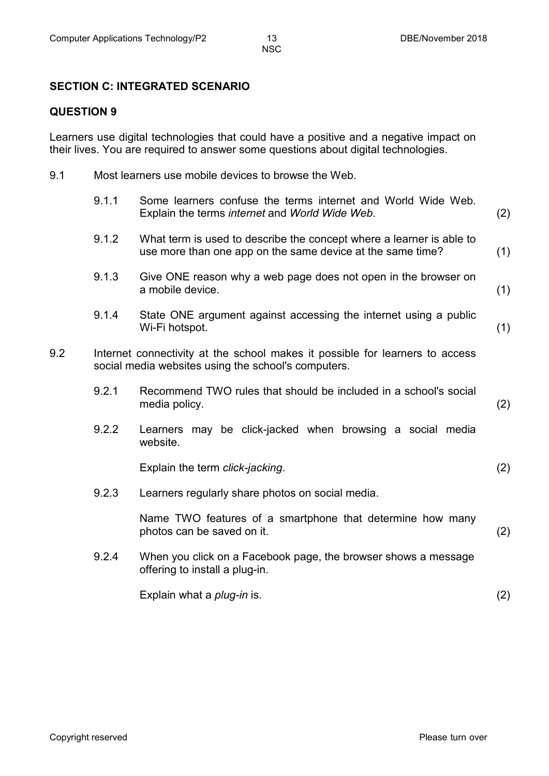#### **SECTION C: INTEGRATED SCENARIO**

#### **QUESTION 9**

Learners use digital technologies that could have a positive and a negative impact on their lives. You are required to answer some questions about digital technologies.

9.1 Most learners use mobile devices to browse the Web.

|     | 9.1.1 | Some learners confuse the terms internet and World Wide Web.<br>Explain the terms internet and World Wide Web.                      | (2) |
|-----|-------|-------------------------------------------------------------------------------------------------------------------------------------|-----|
|     | 9.1.2 | What term is used to describe the concept where a learner is able to<br>use more than one app on the same device at the same time?  | (1) |
|     | 9.1.3 | Give ONE reason why a web page does not open in the browser on<br>a mobile device.                                                  | (1) |
|     | 9.1.4 | State ONE argument against accessing the internet using a public<br>Wi-Fi hotspot.                                                  | (1) |
| 9.2 |       | Internet connectivity at the school makes it possible for learners to access<br>social media websites using the school's computers. |     |
|     | 9.2.1 | Recommend TWO rules that should be included in a school's social<br>media policy.                                                   | (2) |
|     | 9.2.2 | Learners may be click-jacked when browsing a social media<br>website.                                                               |     |
|     |       | Explain the term click-jacking.                                                                                                     | (2) |
|     | 9.2.3 | Learners regularly share photos on social media.                                                                                    |     |
|     |       | Name TWO features of a smartphone that determine how many<br>photos can be saved on it.                                             | (2) |
|     | 9.2.4 | When you click on a Facebook page, the browser shows a message<br>offering to install a plug-in.                                    |     |
|     |       | Explain what a <i>plug-in</i> is.                                                                                                   | (2) |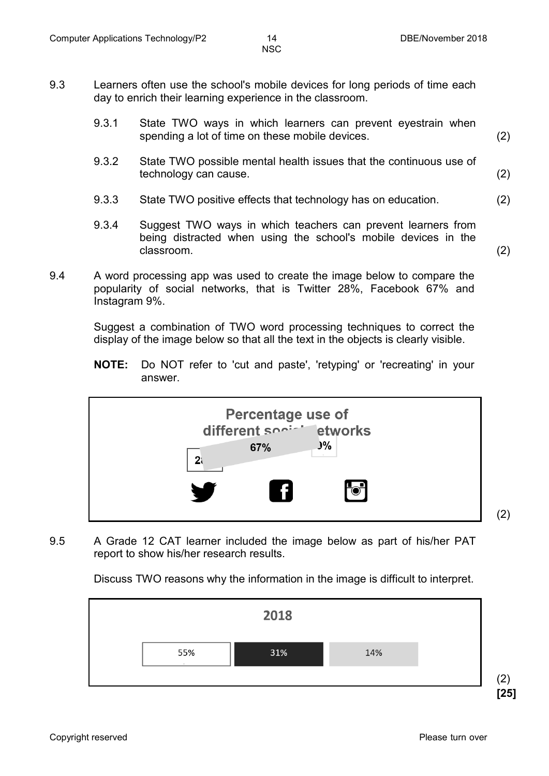- 9.3 Learners often use the school's mobile devices for long periods of time each day to enrich their learning experience in the classroom.
	- 9.3.1 State TWO ways in which learners can prevent eyestrain when spending a lot of time on these mobile devices. (2)
	- 9.3.2 State TWO possible mental health issues that the continuous use of technology can cause. (2)
	- 9.3.3 State TWO positive effects that technology has on education. (2)
	- 9.3.4 Suggest TWO ways in which teachers can prevent learners from being distracted when using the school's mobile devices in the classroom. (2)
- 9.4 A word processing app was used to create the image below to compare the popularity of social networks, that is Twitter 28%, Facebook 67% and Instagram 9%.

Suggest a combination of TWO word processing techniques to correct the display of the image below so that all the text in the objects is clearly visible.

**NOTE:** Do NOT refer to 'cut and paste', 'retyping' or 'recreating' in your answer.



9.5 A Grade 12 CAT learner included the image below as part of his/her PAT report to show his/her research results.

Discuss TWO reasons why the information in the image is difficult to interpret.



Copyright reserved **Please-turn-over and Copyright reserved** Please-turn-over and Please-turn-over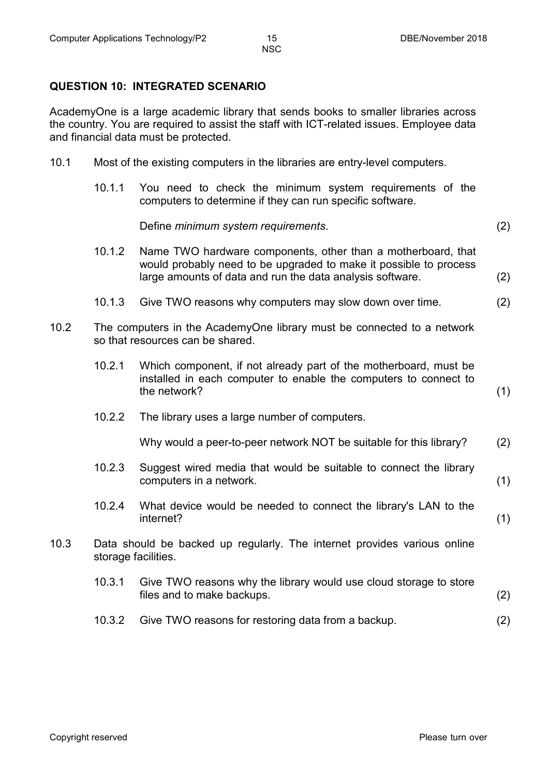#### **QUESTION 10: INTEGRATED SCENARIO**

AcademyOne is a large academic library that sends books to smaller libraries across the country. You are required to assist the staff with ICT-related issues. Employee data and financial data must be protected.

- 10.1 Most of the existing computers in the libraries are entry-level computers.
	- 10.1.1 You need to check the minimum system requirements of the computers to determine if they can run specific software.

Define *minimum system requirements*. (2)

- 10.1.2 Name TWO hardware components, other than a motherboard, that would probably need to be upgraded to make it possible to process large amounts of data and run the data analysis software. (2)
- 10.1.3 Give TWO reasons why computers may slow down over time. (2)
- 10.2 The computers in the AcademyOne library must be connected to a network so that resources can be shared.
	- 10.2.1 Which component, if not already part of the motherboard, must be installed in each computer to enable the computers to connect to the network? (1)
	- 10.2.2 The library uses a large number of computers.

Why would a peer-to-peer network NOT be suitable for this library? (2)

- 10.2.3 Suggest wired media that would be suitable to connect the library computers in a network. (1)
- 10.2.4 What device would be needed to connect the library's LAN to the internet? (1)
- 10.3 Data should be backed up regularly. The internet provides various online storage facilities.
	- 10.3.1 Give TWO reasons why the library would use cloud storage to store files and to make backups. (2)
	- 10.3.2 Give TWO reasons for restoring data from a backup. (2)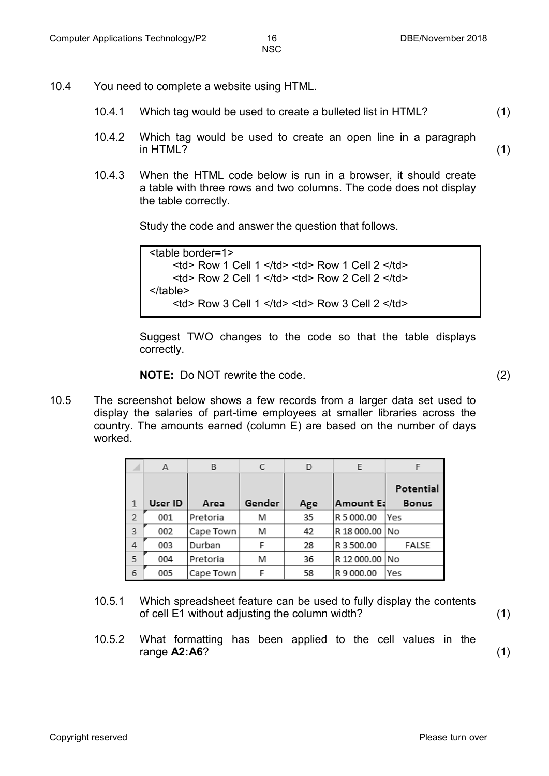- 10.4 You need to complete a website using HTML.
	- 10.4.1 Which tag would be used to create a bulleted list in HTML? (1)
	- 10.4.2 Which tag would be used to create an open line in a paragraph in HTML? (1)
	- 10.4.3 When the HTML code below is run in a browser, it should create a table with three rows and two columns. The code does not display the table correctly.

Study the code and answer the question that follows.

<table border=1>  $<$ td> Row 1 Cell 1  $<$ /td>  $<$ td> Row 1 Cell 2  $<$ /td>  $<$ td> Row 2 Cell 1  $<$ /td>  $<$ td> Row 2 Cell 2  $<$ /td> </table>  $<$ td> Row 3 Cell 1  $<$ /td>  $<$ td> Row 3 Cell 2  $<$ /td>

Suggest TWO changes to the code so that the table displays correctly.

**NOTE:** Do NOT rewrite the code. (2)

10.5 The screenshot below shows a few records from a larger data set used to display the salaries of part-time employees at smaller libraries across the country. The amounts earned (column E) are based on the number of days worked.

|               | А       | B         | С      | D   | F              |              |
|---------------|---------|-----------|--------|-----|----------------|--------------|
|               |         |           |        |     |                | Potential    |
|               | User ID | Area      | Gender | Age | Amount Ea      | <b>Bonus</b> |
| $\mathcal{P}$ | 001     | Pretoria  | M      | 35  | R 5 000.00     | lYes         |
| 3             | 002     | Cape Town | M      | 42  | R 18 000.00 No |              |
| 4             | 003     | Durban    | F      | 28  | R 3 500.00     | FALSE        |
| 5             | 004     | Pretoria  | M      | 36  | R 12 000.00 No |              |
| 6             | 005     | Cape Town |        | 58  | R 9 000.00     | lYes         |

- 10.5.1 Which spreadsheet feature can be used to fully display the contents of cell E1 without adjusting the column width? (1)
- 10.5.2 What formatting has been applied to the cell values in the range **A2:A6**? (1)